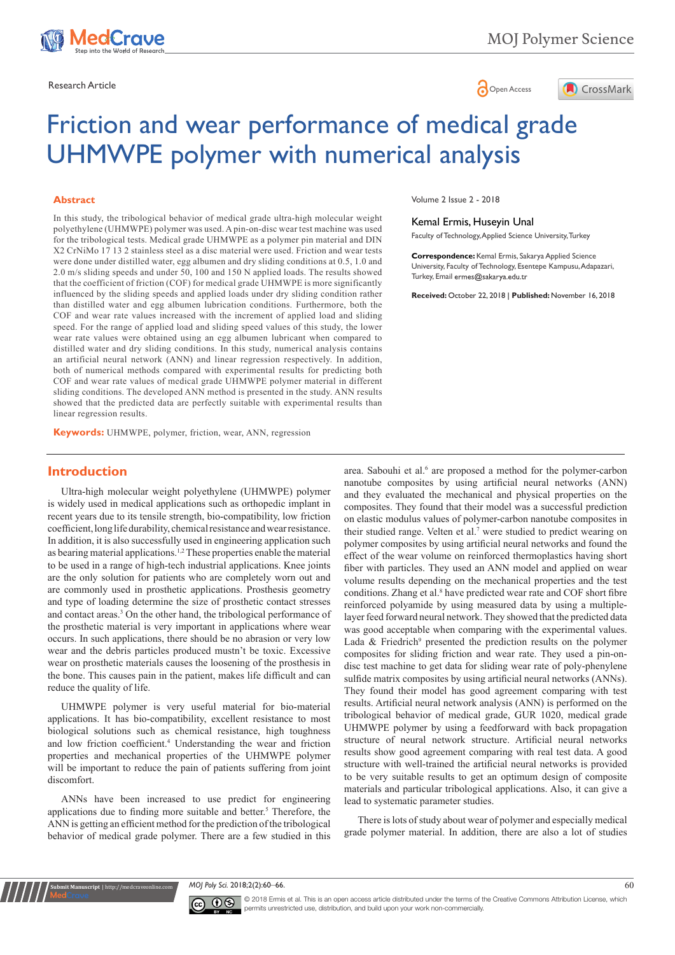



# Friction and wear performance of medical grade UHMWPE polymer with numerical analysis

#### **Abstract**

In this study, the tribological behavior of medical grade ultra-high molecular weight polyethylene (UHMWPE) polymer was used. A pin-on-disc wear test machine was used for the tribological tests. Medical grade UHMWPE as a polymer pin material and DIN X2 CrNiMo 17 13 2 stainless steel as a disc material were used. Friction and wear tests were done under distilled water, egg albumen and dry sliding conditions at 0.5, 1.0 and 2.0 m/s sliding speeds and under 50, 100 and 150 N applied loads. The results showed that the coefficient of friction (COF) for medical grade UHMWPE is more significantly influenced by the sliding speeds and applied loads under dry sliding condition rather than distilled water and egg albumen lubrication conditions. Furthermore, both the COF and wear rate values increased with the increment of applied load and sliding speed. For the range of applied load and sliding speed values of this study, the lower wear rate values were obtained using an egg albumen lubricant when compared to distilled water and dry sliding conditions. In this study, numerical analysis contains an artificial neural network (ANN) and linear regression respectively. In addition, both of numerical methods compared with experimental results for predicting both COF and wear rate values of medical grade UHMWPE polymer material in different sliding conditions. The developed ANN method is presented in the study. ANN results showed that the predicted data are perfectly suitable with experimental results than linear regression results.

**Keywords:** UHMWPE, polymer, friction, wear, ANN, regression

## **Introduction**

Ultra-high molecular weight polyethylene (UHMWPE) polymer is widely used in medical applications such as orthopedic implant in recent years due to its tensile strength, bio-compatibility, low friction coefficient, long life durability, chemical resistance and wear resistance. In addition, it is also successfully used in engineering application such as bearing material applications.1,2 These properties enable the material to be used in a range of high-tech industrial applications. Knee joints are the only solution for patients who are completely worn out and are commonly used in prosthetic applications. Prosthesis geometry and type of loading determine the size of prosthetic contact stresses and contact areas.<sup>3</sup> On the other hand, the tribological performance of the prosthetic material is very important in applications where wear occurs. In such applications, there should be no abrasion or very low wear and the debris particles produced mustn't be toxic. Excessive wear on prosthetic materials causes the loosening of the prosthesis in the bone. This causes pain in the patient, makes life difficult and can reduce the quality of life.

UHMWPE polymer is very useful material for bio-material applications. It has bio-compatibility, excellent resistance to most biological solutions such as chemical resistance, high toughness and low friction coefficient.<sup>4</sup> Understanding the wear and friction properties and mechanical properties of the UHMWPE polymer will be important to reduce the pain of patients suffering from joint discomfort.

ANNs have been increased to use predict for engineering applications due to finding more suitable and better.<sup>5</sup> Therefore, the ANN is getting an efficient method for the prediction of the tribological behavior of medical grade polymer. There are a few studied in this

**Sit Manuscript** | http://medcraveonline.

Volume 2 Issue 2 - 2018

#### Kemal Ermis, Huseyin Unal

Faculty of Technology, Applied Science University, Turkey

**Correspondence:** Kemal Ermis, Sakarya Applied Science University, Faculty of Technology, Esentepe Kampusu, Adapazari, Turkey, Email ermes@sakarya.edu.tr

**Received:** October 22, 2018 | **Published:** November 16, 2018

area. Sabouhi et al.<sup>6</sup> are proposed a method for the polymer-carbon nanotube composites by using artificial neural networks (ANN) and they evaluated the mechanical and physical properties on the composites. They found that their model was a successful prediction on elastic modulus values of polymer-carbon nanotube composites in their studied range. Velten et al.<sup>7</sup> were studied to predict wearing on polymer composites by using artificial neural networks and found the effect of the wear volume on reinforced thermoplastics having short fiber with particles. They used an ANN model and applied on wear volume results depending on the mechanical properties and the test conditions. Zhang et al.<sup>8</sup> have predicted wear rate and COF short fibre reinforced polyamide by using measured data by using a multiplelayer feed forward neural network. They showed that the predicted data was good acceptable when comparing with the experimental values. Lada & Friedrich<sup>9</sup> presented the prediction results on the polymer composites for sliding friction and wear rate. They used a pin-ondisc test machine to get data for sliding wear rate of poly-phenylene sulfide matrix composites by using artificial neural networks (ANNs). They found their model has good agreement comparing with test results. Artificial neural network analysis (ANN) is performed on the tribological behavior of medical grade, GUR 1020, medical grade UHMWPE polymer by using a feedforward with back propagation structure of neural network structure. Artificial neural networks results show good agreement comparing with real test data. A good structure with well-trained the artificial neural networks is provided to be very suitable results to get an optimum design of composite materials and particular tribological applications. Also, it can give a lead to systematic parameter studies.

There is lots of study about wear of polymer and especially medical grade polymer material. In addition, there are also a lot of studies

*MOJ Poly Sci.* 2018;2(2):60‒66. 60



© 2018 Ermis et al. This is an open access article distributed under the terms of the [Creative Commons Attribution License,](https://creativecommons.org/licenses/by-nc/4.0/) which permits unrestricted use, distribution, and build upon your work non-commercially.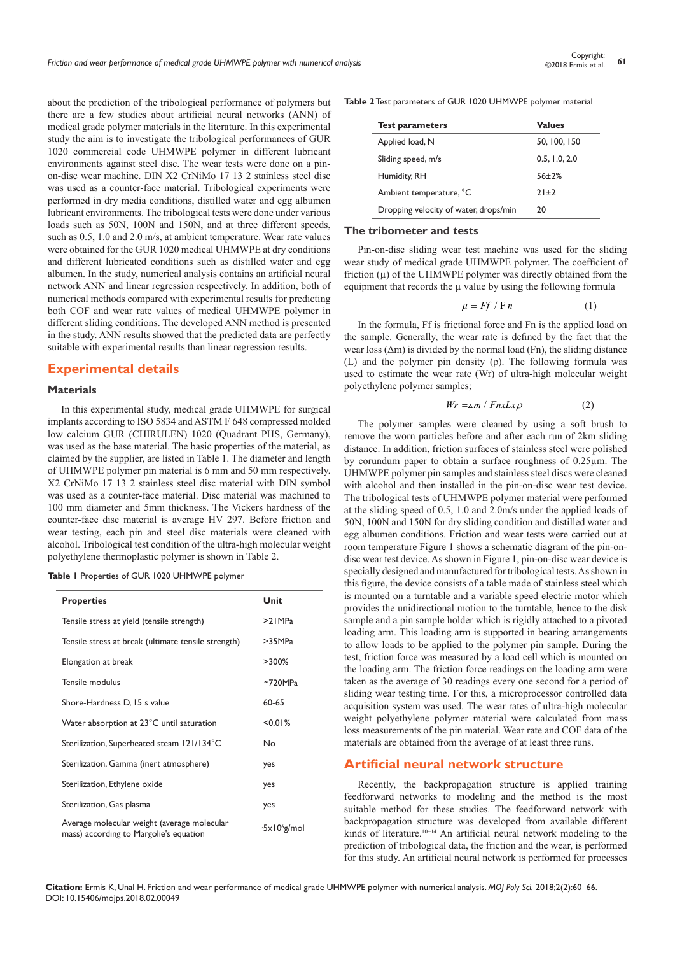about the prediction of the tribological performance of polymers but there are a few studies about artificial neural networks (ANN) of medical grade polymer materials in the literature. In this experimental study the aim is to investigate the tribological performances of GUR 1020 commercial code UHMWPE polymer in different lubricant environments against steel disc. The wear tests were done on a pinon-disc wear machine. DIN X2 CrNiMo 17 13 2 stainless steel disc was used as a counter-face material. Tribological experiments were performed in dry media conditions, distilled water and egg albumen lubricant environments. The tribological tests were done under various loads such as 50N, 100N and 150N, and at three different speeds, such as 0.5, 1.0 and 2.0 m/s, at ambient temperature. Wear rate values were obtained for the GUR 1020 medical UHMWPE at dry conditions and different lubricated conditions such as distilled water and egg albumen. In the study, numerical analysis contains an artificial neural network ANN and linear regression respectively. In addition, both of numerical methods compared with experimental results for predicting both COF and wear rate values of medical UHMWPE polymer in different sliding conditions. The developed ANN method is presented in the study. ANN results showed that the predicted data are perfectly suitable with experimental results than linear regression results.

## **Experimental details**

#### **Materials**

In this experimental study, medical grade UHMWPE for surgical implants according to ISO 5834 and ASTM F 648 compressed molded low calcium GUR (CHIRULEN) 1020 (Quadrant PHS, Germany), was used as the base material. The basic properties of the material, as claimed by the supplier, are listed in Table 1. The diameter and length of UHMWPE polymer pin material is 6 mm and 50 mm respectively. X2 CrNiMo 17 13 2 stainless steel disc material with DIN symbol was used as a counter-face material. Disc material was machined to 100 mm diameter and 5mm thickness. The Vickers hardness of the counter-face disc material is average HV 297. Before friction and wear testing, each pin and steel disc materials were cleaned with alcohol. Tribological test condition of the ultra-high molecular weight polyethylene thermoplastic polymer is shown in Table 2.

|  |  | Table I Properties of GUR 1020 UHMWPE polymer |  |  |  |  |
|--|--|-----------------------------------------------|--|--|--|--|
|--|--|-----------------------------------------------|--|--|--|--|

| <b>Properties</b>                                                                     | Unit                     |
|---------------------------------------------------------------------------------------|--------------------------|
| Tensile stress at yield (tensile strength)                                            | >21MPa                   |
| Tensile stress at break (ultimate tensile strength)                                   | >35MPa                   |
| Elongation at break                                                                   | $>300\%$                 |
| Tensile modulus                                                                       | ~5720MPa                 |
| Shore-Hardness D, 15 s value                                                          | 60-65                    |
| Water absorption at 23°C until saturation                                             | < 0.01%                  |
| Sterilization, Superheated steam 121/134°C                                            | Nο                       |
| Sterilization, Gamma (inert atmosphere)                                               | yes                      |
| Sterilization, Ethylene oxide                                                         | yes                      |
| Sterilization, Gas plasma                                                             | yes                      |
| Average molecular weight (average molecular<br>mass) according to Margolie's equation | $-5 \times 10^{6}$ g/mol |

**Table 2** Test parameters of GUR 1020 UHMWPE polymer material

| <b>Test parameters</b>                | <b>Values</b> |
|---------------------------------------|---------------|
| Applied load, N                       | 50, 100, 150  |
| Sliding speed, m/s                    | 0.5, 1.0, 2.0 |
| Humidity, RH                          | $56 + 2%$     |
| Ambient temperature, °C               | $71+7$        |
| Dropping velocity of water, drops/min | 20            |

#### **The tribometer and tests**

Pin-on-disc sliding wear test machine was used for the sliding wear study of medical grade UHMWPE polymer. The coefficient of friction  $(\mu)$  of the UHMWPE polymer was directly obtained from the equipment that records the µ value by using the following formula

$$
\mu = Ff / F n \tag{1}
$$

In the formula, Ff is frictional force and Fn is the applied load on the sample. Generally, the wear rate is defined by the fact that the wear loss  $(Δm)$  is divided by the normal load (Fn), the sliding distance (L) and the polymer pin density (ρ). The following formula was used to estimate the wear rate (Wr) of ultra-high molecular weight polyethylene polymer samples;

$$
Wr = \Delta m / FnxLx\rho \tag{2}
$$

The polymer samples were cleaned by using a soft brush to remove the worn particles before and after each run of 2km sliding distance. In addition, friction surfaces of stainless steel were polished by corundum paper to obtain a surface roughness of 0.25µm. The UHMWPE polymer pin samples and stainless steel discs were cleaned with alcohol and then installed in the pin-on-disc wear test device. The tribological tests of UHMWPE polymer material were performed at the sliding speed of 0.5, 1.0 and 2.0m/s under the applied loads of 50N, 100N and 150N for dry sliding condition and distilled water and egg albumen conditions. Friction and wear tests were carried out at room temperature Figure 1 shows a schematic diagram of the pin-ondisc wear test device. As shown in Figure 1, pin-on-disc wear device is specially designed and manufactured for tribological tests. As shown in this figure, the device consists of a table made of stainless steel which is mounted on a turntable and a variable speed electric motor which provides the unidirectional motion to the turntable, hence to the disk sample and a pin sample holder which is rigidly attached to a pivoted loading arm. This loading arm is supported in bearing arrangements to allow loads to be applied to the polymer pin sample. During the test, friction force was measured by a load cell which is mounted on the loading arm. The friction force readings on the loading arm were taken as the average of 30 readings every one second for a period of sliding wear testing time. For this, a microprocessor controlled data acquisition system was used. The wear rates of ultra-high molecular weight polyethylene polymer material were calculated from mass loss measurements of the pin material. Wear rate and COF data of the materials are obtained from the average of at least three runs.

## **Artificial neural network structure**

Recently, the backpropagation structure is applied training feedforward networks to modeling and the method is the most suitable method for these studies. The feedforward network with backpropagation structure was developed from available different kinds of literature.<sup>10–14</sup> An artificial neural network modeling to the prediction of tribological data, the friction and the wear, is performed for this study. An artificial neural network is performed for processes

**Citation:** Ermis K, Unal H. Friction and wear performance of medical grade UHMWPE polymer with numerical analysis. *MOJ Poly Sci.* 2018;2(2):60‒66. DOI: [10.15406/mojps.2018.02.00049](https://doi.org/10.15406/mojps.2018.02.00049)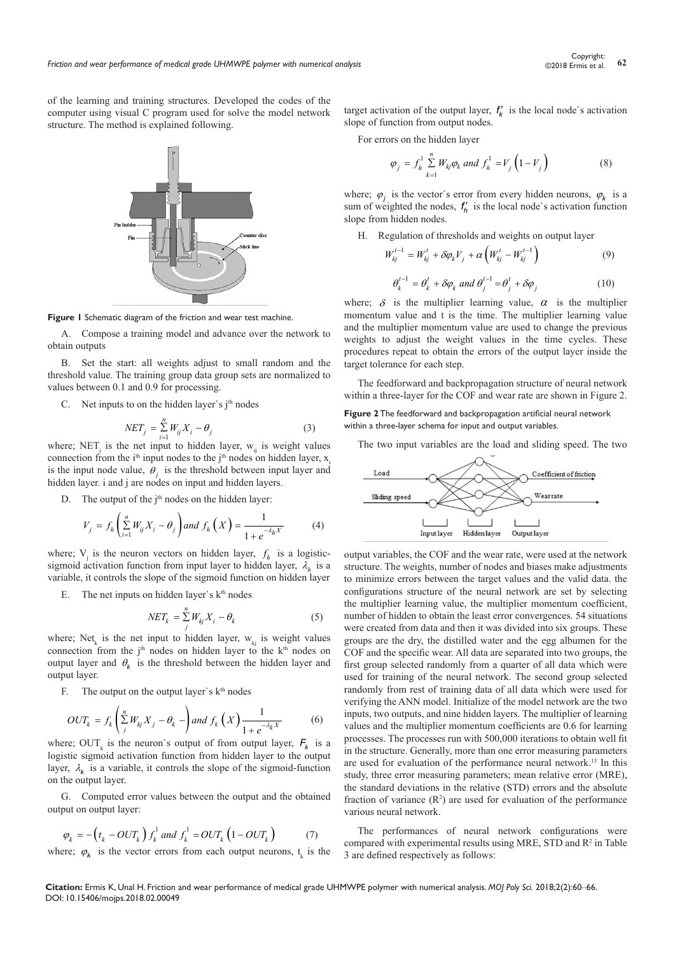of the learning and training structures. Developed the codes of the computer using visual C program used for solve the model network structure. The method is explained following.

**Figure 1** Schematic diagram of the friction and wear test machine.

A. Compose a training model and advance over the network to obtain outputs

B. Set the start: all weights adjust to small random and the threshold value. The training group data group sets are normalized to values between 0.1 and 0.9 for processing.

C. Net inputs to on the hidden layer's  $i<sup>th</sup>$  nodes

$$
NET_i = \sum_{i=1}^{n} W_{ij} X_i - \theta_i
$$
 (3)

 $NET_j = \sum_{i=1}^{N} W_{ij} X_i - \theta_j$  (3)<br>where; NET<sub>j</sub> is the net input to hidden layer, w<sub>ij</sub> is weight values connection from the  $i<sup>th</sup>$  input nodes to the  $j<sup>th</sup>$  nodes on hidden layer, x<sub>i</sub> is the input node value,  $\theta_i$  is the threshold between input layer and hidden layer. *i* and *j* are nodes on input and hidden layers.

D. The output of the  $j<sup>th</sup>$  nodes on the hidden layer:

$$
V_j = f_h\left(\sum_{i=1}^n W_{ij}X_i - \theta_j\right) \text{ and } f_h\left(X\right) = \frac{1}{1 + e^{-\lambda_h X}} \tag{4}
$$

where;  $V_j$  is the neuron vectors on hidden layer,  $f_h$  is a logisticsigmoid activation function from input layer to hidden layer,  $\lambda_h$  is a variable, it controls the slope of the sigmoid function on hidden layer

E. The net inputs on hidden layer's  $k<sup>th</sup>$  nodes

$$
NET_k = \sum_{j}^{n} W_{kj} X_i - \theta_k \tag{5}
$$

where; Net<sub>k</sub> is the net input to hidden layer,  $w_{kj}$  is weight values connection from the  $j<sup>th</sup>$  nodes on hidden layer to the k<sup>th</sup> nodes on output layer and  $\theta_k$  is the threshold between the hidden layer and output layer.

F. The output on the output layer's  $k<sup>th</sup>$  nodes

$$
OUT_k = f_k \left( \sum_{j}^{n} W_{kj} X_j - \theta_k - \right) \text{ and } f_k \left( X \right) \frac{1}{1 + e^{-\lambda_k X}} \tag{6}
$$

where;  $OUT_k$  is the neuron's output of from output layer,  $F_k$  is a logistic sigmoid activation function from hidden layer to the output layer,  $\lambda_k$  is a variable, it controls the slope of the sigmoid-function on the output layer.

G. Computed error values between the output and the obtained output on output layer:

$$
\varphi_k = -\left(t_k - OUT_k\right) f_k^1 \text{ and } f_k^1 = OUT_k \left(1 - OUT_k\right) \tag{7}
$$

where;  $\varphi_k$  is the vector errors from each output neurons,  $t_k$  is the

target activation of the output layer,  $f'_{k}$  is the local node's activation slope of function from output nodes.

For errors on the hidden layer

$$
\varphi_j = f_h^1 \sum_{k=1}^n W_{kj} \varphi_k \text{ and } f_h^1 = V_j \left( 1 - V_j \right) \tag{8}
$$

where;  $\varphi_i$  is the vector's error from every hidden neurons,  $\varphi_k$  is a sum of weighted the nodes,  $f'_{h}$  is the local node's activation function slope from hidden nodes.

H. Regulation of thresholds and weights on output layer

$$
W_{kj}^{t-1} = W_{kj}^t + \delta \varphi_k V_j + \alpha \left( W_{kj}^t - W_{kj}^{t-1} \right)
$$
 (9)

$$
\theta_k^{t-1} = \theta_k^t + \delta \varphi_k \text{ and } \theta_j^{t-1} = \theta_j^t + \delta \varphi_j \tag{10}
$$

where;  $\delta$  is the multiplier learning value,  $\alpha$  is the multiplier momentum value and t is the time. The multiplier learning value and the multiplier momentum value are used to change the previous weights to adjust the weight values in the time cycles. These procedures repeat to obtain the errors of the output layer inside the target tolerance for each step.

The feedforward and backpropagation structure of neural network within a three-layer for the COF and wear rate are shown in Figure 2.

**Figure 2** The feedforward and backpropagation artificial neural network within a three-layer schema for input and output variables.

The two input variables are the load and sliding speed. The two



output variables, the COF and the wear rate, were used at the network structure. The weights, number of nodes and biases make adjustments to minimize errors between the target values and the valid data. the configurations structure of the neural network are set by selecting the multiplier learning value, the multiplier momentum coefficient, number of hidden to obtain the least error convergences. 54 situations were created from data and then it was divided into six groups. These groups are the dry, the distilled water and the egg albumen for the COF and the specific wear. All data are separated into two groups, the first group selected randomly from a quarter of all data which were used for training of the neural network. The second group selected randomly from rest of training data of all data which were used for verifying the ANN model. Initialize of the model network are the two inputs, two outputs, and nine hidden layers. The multiplier of learning values and the multiplier momentum coefficients are 0.6 for learning processes. The processes run with 500,000 iterations to obtain well fit in the structure. Generally, more than one error measuring parameters are used for evaluation of the performance neural network.15 In this study, three error measuring parameters; mean relative error (MRE), the standard deviations in the relative (STD) errors and the absolute fraction of variance  $(R^2)$  are used for evaluation of the performance various neural network.

The performances of neural network configurations were compared with experimental results using MRE, STD and  $R<sup>2</sup>$  in Table 3 are defined respectively as follows:

**Citation:** Ermis K, Unal H. Friction and wear performance of medical grade UHMWPE polymer with numerical analysis. *MOJ Poly Sci.* 2018;2(2):60‒66. DOI: [10.15406/mojps.2018.02.00049](https://doi.org/10.15406/mojps.2018.02.00049)

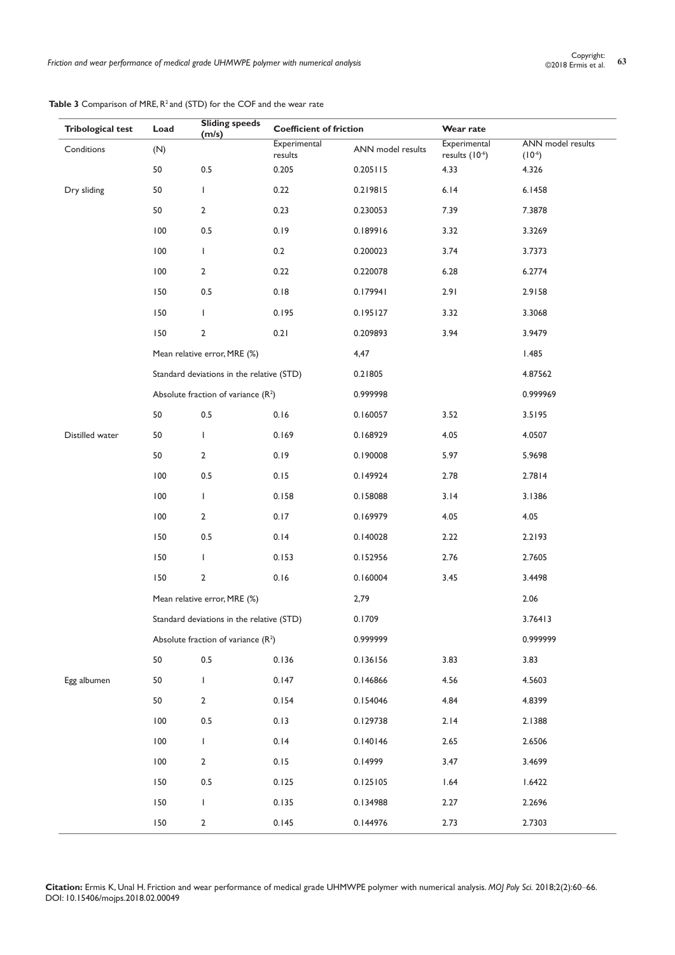| <b>Tribological test</b> | Load    | <b>Sliding speeds</b><br>(m/s)            | <b>Coefficient of friction</b> |                   | Wear rate                      |                               |
|--------------------------|---------|-------------------------------------------|--------------------------------|-------------------|--------------------------------|-------------------------------|
| Conditions               | (N)     |                                           | Experimental<br>results        | ANN model results | Experimental<br>results (10-6) | ANN model results<br>$(10-6)$ |
|                          | 50      | $0.5\,$                                   | 0.205                          | 0.205115          | 4.33                           | 4.326                         |
| Dry sliding              | 50      | T                                         | 0.22                           | 0.219815          | 6.14                           | 6.1458                        |
|                          | 50      | $\overline{2}$                            | 0.23                           | 0.230053          | 7.39                           | 7.3878                        |
|                          | 100     | 0.5                                       | 0.19                           | 0.189916          | 3.32                           | 3.3269                        |
|                          | 100     | $\mathbf{I}$                              | 0.2                            | 0.200023          | 3.74                           | 3.7373                        |
|                          | 100     | $\mathbf{2}$                              | 0.22                           | 0.220078          | 6.28                           | 6.2774                        |
|                          | 150     | $0.5\,$                                   | 0.18                           | 0.179941          | 2.91                           | 2.9158                        |
|                          | 150     | T                                         | 0.195                          | 0.195127          | 3.32                           | 3.3068                        |
|                          | 150     | 2                                         | 0.21                           | 0.209893          | 3.94                           | 3.9479                        |
|                          |         | Mean relative error, MRE (%)              |                                | 4,47              |                                | 1.485                         |
|                          |         | Standard deviations in the relative (STD) |                                | 0.21805           |                                | 4.87562                       |
|                          |         | Absolute fraction of variance $(R^2)$     |                                | 0.999998          |                                | 0.999969                      |
|                          | 50      | $0.5\,$                                   | 0.16                           | 0.160057          | 3.52                           | 3.5195                        |
| Distilled water          | 50      | J.                                        | 0.169                          | 0.168929          | 4.05                           | 4.0507                        |
|                          | 50      | $\overline{2}$                            | 0.19                           | 0.190008          | 5.97                           | 5.9698                        |
|                          | 100     | 0.5                                       | 0.15                           | 0.149924          | 2.78                           | 2.7814                        |
|                          | 100     | $\mathbf{I}$                              | 0.158                          | 0.158088          | 3.14                           | 3.1386                        |
|                          | 100     | $\overline{2}$                            | 0.17                           | 0.169979          | 4.05                           | 4.05                          |
|                          | 150     | $0.5\,$                                   | 0.14                           | 0.140028          | 2.22                           | 2.2193                        |
|                          | 150     | T                                         | 0.153                          | 0.152956          | 2.76                           | 2.7605                        |
|                          | 150     | 2                                         | 0.16                           | 0.160004          | 3.45                           | 3.4498                        |
|                          |         | Mean relative error, MRE (%)              |                                | 2,79              |                                | 2.06                          |
|                          |         | Standard deviations in the relative (STD) |                                | 0.1709            |                                | 3.76413                       |
|                          |         | Absolute fraction of variance $(R2)$      |                                | 0.999999          |                                | 0.999999                      |
|                          | 50      | $0.5\,$                                   | 0.136                          | 0.136156          | 3.83                           | 3.83                          |
| Egg albumen              | 50      | T.                                        | 0.147                          | 0.146866          | 4.56                           | 4.5603                        |
|                          | 50      | $\overline{2}$                            | 0.154                          | 0.154046          | 4.84                           | 4.8399                        |
|                          | 100     | $0.5\,$                                   | 0.13                           | 0.129738          | 2.14                           | 2.1388                        |
|                          | 100     | $\mathbf{L}$                              | 0.14                           | 0.140146          | 2.65                           | 2.6506                        |
|                          | 100     | $\mathbf{2}$                              | 0.15                           | 0.14999           | 3.47                           | 3.4699                        |
|                          | 150     | $0.5\,$                                   | 0.125                          | 0.125105          | 1.64                           | 1.6422                        |
|                          | 150     | T                                         | 0.135                          | 0.134988          | 2.27                           | 2.2696                        |
|                          | $150\,$ | $\mathbf{2}$                              | 0.145                          | 0.144976          | 2.73                           | 2.7303                        |

Table 3 Comparison of MRE, R<sup>2</sup> and (STD) for the COF and the wear rate

**Citation:** Ermis K, Unal H. Friction and wear performance of medical grade UHMWPE polymer with numerical analysis. *MOJ Poly Sci.* 2018;2(2):60‒66. DOI: [10.15406/mojps.2018.02.00049](https://doi.org/10.15406/mojps.2018.02.00049)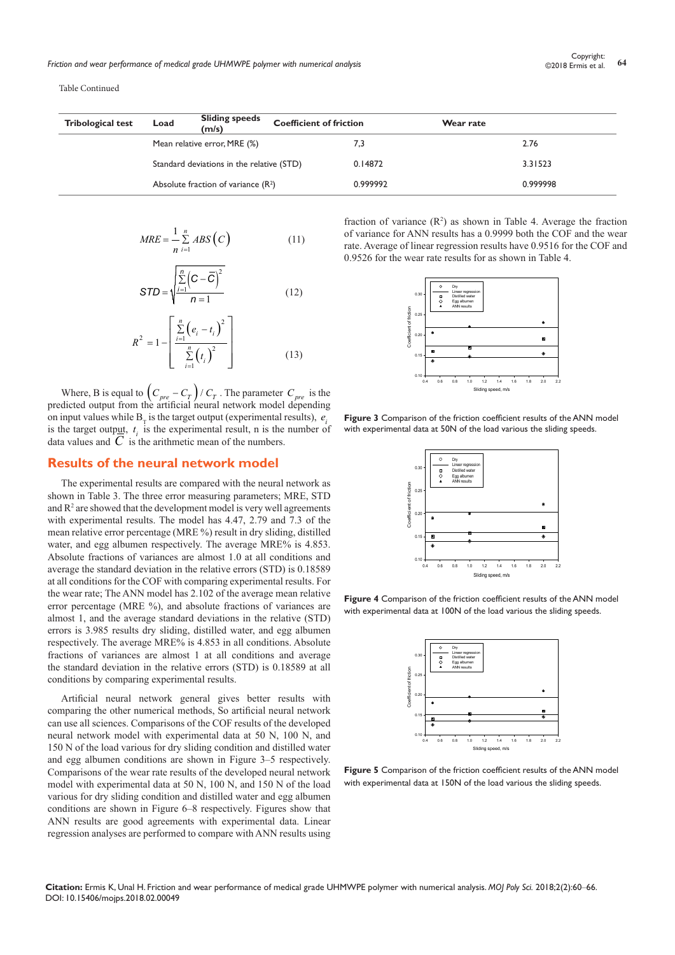Table Continued

| <b>Tribological test</b> | Load | <b>Sliding speeds</b><br>(m/s)            | <b>Coefficient of friction</b> |          | Wear rate |          |
|--------------------------|------|-------------------------------------------|--------------------------------|----------|-----------|----------|
|                          |      | Mean relative error, MRE (%)              |                                | 7,3      |           | 2.76     |
|                          |      | Standard deviations in the relative (STD) |                                | 0.14872  |           | 3.31523  |
|                          |      | Absolute fraction of variance $(R^2)$     |                                | 0.999992 |           | 0.999998 |

$$
MRE = \frac{1}{n} \sum_{i=1}^{n} ABS(C)
$$
 (11)

$$
STD = \sqrt{\frac{\sum_{i=1}^{n} (C - \overline{C})^2}{n = 1}}
$$
 (12)

$$
R^{2} = 1 - \left[ \frac{\sum_{i=1}^{n} (e_{i} - t_{i})^{2}}{\sum_{i=1}^{n} (t_{i})^{2}} \right]
$$
(13)

Where, B is equal to  $\left( C_{pre} - C_T \right) / C_T$ . The parameter  $C_{pre}$  is the predicted output from the artificial neural network model depending on input values while  $B<sub>T</sub>$  is the target output (experimental results),  $e<sub>i</sub>$ is the target output,  $t_i$  is the experimental result, n is the number of data values and  $C$  is the arithmetic mean of the numbers.

#### **Results of the neural network model**

The experimental results are compared with the neural network as shown in Table 3. The three error measuring parameters; MRE, STD and  $\mathbb{R}^2$  are showed that the development model is very well agreements with experimental results. The model has 4.47, 2.79 and 7.3 of the mean relative error percentage (MRE %) result in dry sliding, distilled water, and egg albumen respectively. The average MRE% is 4.853. Absolute fractions of variances are almost 1.0 at all conditions and average the standard deviation in the relative errors (STD) is 0.18589 at all conditions for the COF with comparing experimental results. For the wear rate; The ANN model has 2.102 of the average mean relative error percentage (MRE %), and absolute fractions of variances are almost 1, and the average standard deviations in the relative (STD) errors is 3.985 results dry sliding, distilled water, and egg albumen respectively. The average MRE% is 4.853 in all conditions. Absolute fractions of variances are almost 1 at all conditions and average the standard deviation in the relative errors (STD) is 0.18589 at all conditions by comparing experimental results.

Artificial neural network general gives better results with comparing the other numerical methods, So artificial neural network can use all sciences. Comparisons of the COF results of the developed neural network model with experimental data at 50 N, 100 N, and 150 N of the load various for dry sliding condition and distilled water and egg albumen conditions are shown in Figure 3–5 respectively. Comparisons of the wear rate results of the developed neural network model with experimental data at 50 N, 100 N, and 150 N of the load various for dry sliding condition and distilled water and egg albumen conditions are shown in Figure 6–8 respectively. Figures show that ANN results are good agreements with experimental data. Linear regression analyses are performed to compare with ANN results using

fraction of variance  $(R^2)$  as shown in Table 4. Average the fraction of variance for ANN results has a 0.9999 both the COF and the wear rate. Average of linear regression results have 0.9516 for the COF and 0.9526 for the wear rate results for as shown in Table 4.



**Figure 3** Comparison of the friction coefficient results of the ANN model with experimental data at 50N of the load various the sliding speeds.



**Figure 4** Comparison of the friction coefficient results of the ANN model with experimental data at 100N of the load various the sliding speeds.



**Figure 5** Comparison of the friction coefficient results of the ANN model with experimental data at 150N of the load various the sliding speeds.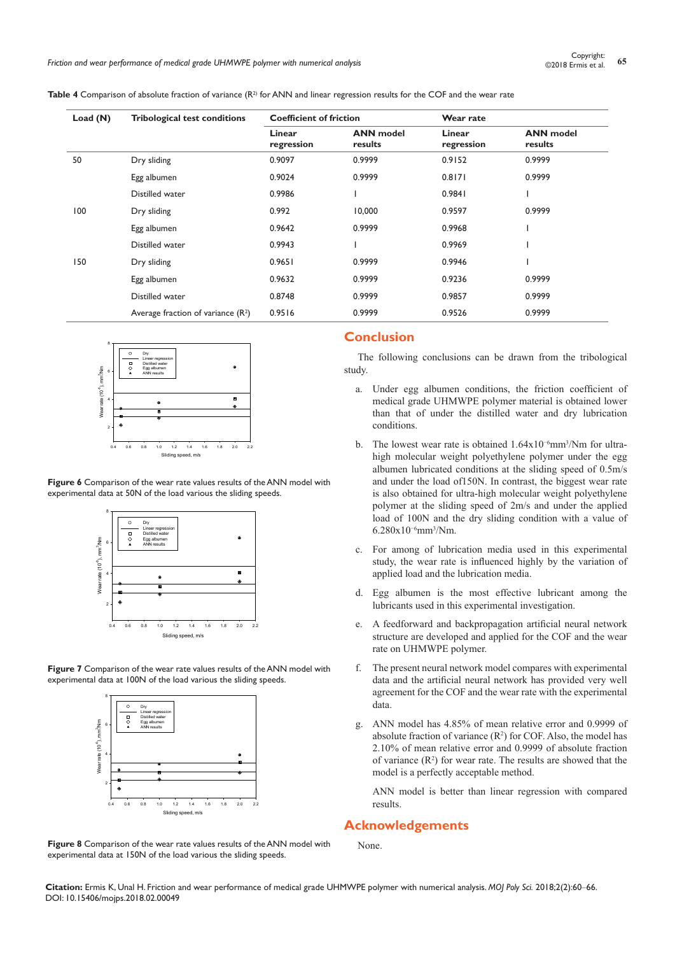*Friction and wear performance of medical grade UHMWPE polymer with numerical analysis* **<sup>65</sup>** Copyright:

**Table 4** Comparison of absolute fraction of variance (R<sup>2)</sup> for ANN and linear regression results for the COF and the wear rate

| Load $(N)$ | <b>Tribological test conditions</b>  | <b>Coefficient of friction</b> |                             | Wear rate            |                             |  |
|------------|--------------------------------------|--------------------------------|-----------------------------|----------------------|-----------------------------|--|
|            |                                      | Linear<br>regression           | <b>ANN</b> model<br>results | Linear<br>regression | <b>ANN</b> model<br>results |  |
| 50         | Dry sliding                          | 0.9097                         | 0.9999                      | 0.9152               | 0.9999                      |  |
|            | Egg albumen                          | 0.9024                         | 0.9999                      | 0.8171               | 0.9999                      |  |
|            | Distilled water                      | 0.9986                         |                             | 0.9841               |                             |  |
| 100        | Dry sliding                          | 0.992                          | 10,000                      | 0.9597               | 0.9999                      |  |
|            | Egg albumen                          | 0.9642                         | 0.9999                      | 0.9968               |                             |  |
|            | Distilled water                      | 0.9943                         |                             | 0.9969               |                             |  |
| 150        | Dry sliding                          | 0.9651                         | 0.9999                      | 0.9946               |                             |  |
|            | Egg albumen                          | 0.9632                         | 0.9999                      | 0.9236               | 0.9999                      |  |
|            | Distilled water                      | 0.8748                         | 0.9999                      | 0.9857               | 0.9999                      |  |
|            | Average fraction of variance $(R^2)$ | 0.9516                         | 0.9999                      | 0.9526               | 0.9999                      |  |



**Figure 6** Comparison of the wear rate values results of the ANN model with experimental data at 50N of the load various the sliding speeds.



**Figure 7** Comparison of the wear rate values results of the ANN model with experimental data at 100N of the load various the sliding speeds.



**Figure 8** Comparison of the wear rate values results of the ANN model with experimental data at 150N of the load various the sliding speeds.

## **Conclusion**

The following conclusions can be drawn from the tribological study.

- a. Under egg albumen conditions, the friction coefficient of medical grade UHMWPE polymer material is obtained lower than that of under the distilled water and dry lubrication conditions.
- b. The lowest wear rate is obtained 1.64x10−6mm3 /Nm for ultrahigh molecular weight polyethylene polymer under the egg albumen lubricated conditions at the sliding speed of 0.5m/s and under the load of150N. In contrast, the biggest wear rate is also obtained for ultra-high molecular weight polyethylene polymer at the sliding speed of 2m/s and under the applied load of 100N and the dry sliding condition with a value of 6.280x10−6mm3 /Nm.
- c. For among of lubrication media used in this experimental study, the wear rate is influenced highly by the variation of applied load and the lubrication media.
- d. Egg albumen is the most effective lubricant among the lubricants used in this experimental investigation.
- e. A feedforward and backpropagation artificial neural network structure are developed and applied for the COF and the wear rate on UHMWPE polymer.
- f. The present neural network model compares with experimental data and the artificial neural network has provided very well agreement for the COF and the wear rate with the experimental data.
- g. ANN model has 4.85% of mean relative error and 0.9999 of absolute fraction of variance  $(R^2)$  for COF. Also, the model has 2.10% of mean relative error and 0.9999 of absolute fraction of variance  $(R^2)$  for wear rate. The results are showed that the model is a perfectly acceptable method.

ANN model is better than linear regression with compared results.

# **Acknowledgements**

None.

**Citation:** Ermis K, Unal H. Friction and wear performance of medical grade UHMWPE polymer with numerical analysis. *MOJ Poly Sci.* 2018;2(2):60‒66. DOI: [10.15406/mojps.2018.02.00049](https://doi.org/10.15406/mojps.2018.02.00049)